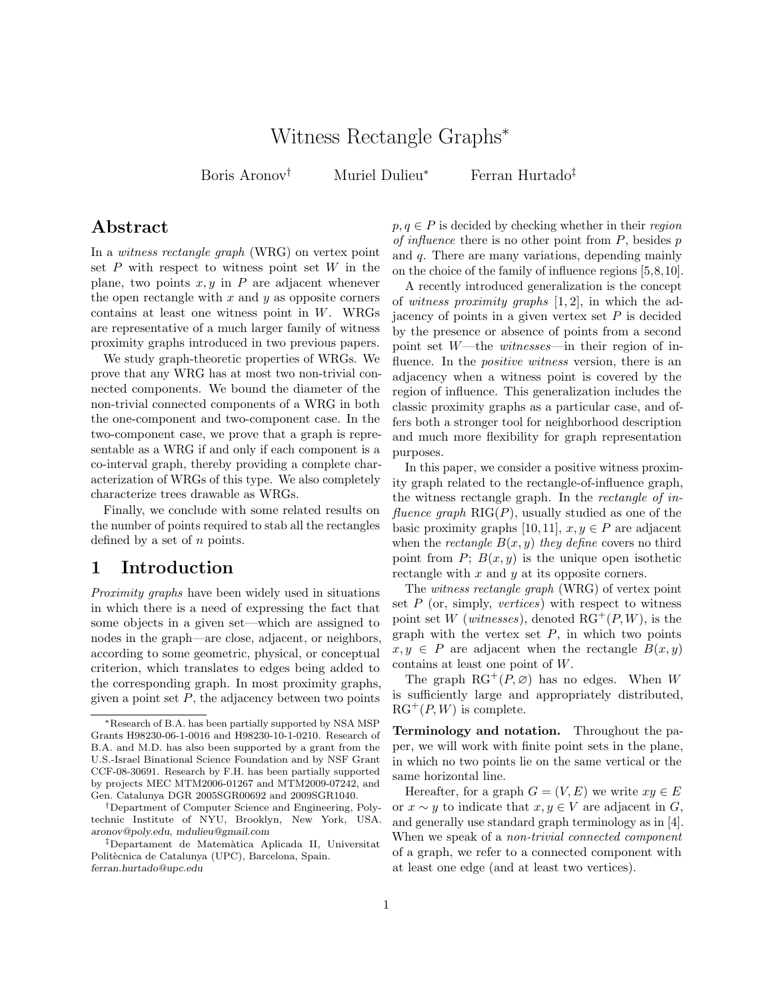# Witness Rectangle Graphs<sup>∗</sup>

Boris Aronov† Muriel Dulieu<sup>∗</sup> Ferran Hurtado‡

## Abstract

In a *witness rectangle graph* (WRG) on vertex point set  $P$  with respect to witness point set  $W$  in the plane, two points  $x, y$  in P are adjacent whenever the open rectangle with  $x$  and  $y$  as opposite corners contains at least one witness point in W. WRGs are representative of a much larger family of witness proximity graphs introduced in two previous papers.

We study graph-theoretic properties of WRGs. We prove that any WRG has at most two non-trivial connected components. We bound the diameter of the non-trivial connected components of a WRG in both the one-component and two-component case. In the two-component case, we prove that a graph is representable as a WRG if and only if each component is a co-interval graph, thereby providing a complete characterization of WRGs of this type. We also completely characterize trees drawable as WRGs.

Finally, we conclude with some related results on the number of points required to stab all the rectangles defined by a set of  $n$  points.

## 1 Introduction

Proximity graphs have been widely used in situations in which there is a need of expressing the fact that some objects in a given set—which are assigned to nodes in the graph—are close, adjacent, or neighbors, according to some geometric, physical, or conceptual criterion, which translates to edges being added to the corresponding graph. In most proximity graphs, given a point set  $P$ , the adjacency between two points  $p, q \in P$  is decided by checking whether in their region of influence there is no other point from  $P$ , besides  $p$ and q. There are many variations, depending mainly on the choice of the family of influence regions [5,8,10].

A recently introduced generalization is the concept of witness proximity graphs  $[1, 2]$ , in which the adiacency of points in a given vertex set  $P$  is decided by the presence or absence of points from a second point set W—the witnesses—in their region of influence. In the *positive witness* version, there is an adjacency when a witness point is covered by the region of influence. This generalization includes the classic proximity graphs as a particular case, and offers both a stronger tool for neighborhood description and much more flexibility for graph representation purposes.

In this paper, we consider a positive witness proximity graph related to the rectangle-of-influence graph, the witness rectangle graph. In the rectangle of influence graph  $RIG(P)$ , usually studied as one of the basic proximity graphs [10, 11],  $x, y \in P$  are adjacent when the *rectangle*  $B(x, y)$  they define covers no third point from  $P$ ;  $B(x, y)$  is the unique open isothetic rectangle with x and y at its opposite corners.

The witness rectangle graph (WRG) of vertex point set  $P$  (or, simply, vertices) with respect to witness point set W (witnesses), denoted  $\operatorname{RG}^+(P,W)$ , is the graph with the vertex set  $P$ , in which two points  $x, y \in P$  are adjacent when the rectangle  $B(x, y)$ contains at least one point of W.

The graph  $\text{RG}^+(P, \varnothing)$  has no edges. When W is sufficiently large and appropriately distributed,  $RG^+(P,W)$  is complete.

Terminology and notation. Throughout the paper, we will work with finite point sets in the plane, in which no two points lie on the same vertical or the same horizontal line.

Hereafter, for a graph  $G = (V, E)$  we write  $xy \in E$ or  $x \sim y$  to indicate that  $x, y \in V$  are adjacent in G, and generally use standard graph terminology as in [4]. When we speak of a *non-trivial connected component* of a graph, we refer to a connected component with at least one edge (and at least two vertices).

<sup>∗</sup>Research of B.A. has been partially supported by NSA MSP Grants H98230-06-1-0016 and H98230-10-1-0210. Research of B.A. and M.D. has also been supported by a grant from the U.S.-Israel Binational Science Foundation and by NSF Grant CCF-08-30691. Research by F.H. has been partially supported by projects MEC MTM2006-01267 and MTM2009-07242, and Gen. Catalunya DGR 2005SGR00692 and 2009SGR1040.

<sup>†</sup>Department of Computer Science and Engineering, Polytechnic Institute of NYU, Brooklyn, New York, USA. aronov@poly.edu, mdulieu@gmail.com

<sup>‡</sup>Departament de Matem`atica Aplicada II, Universitat Politècnica de Catalunya (UPC), Barcelona, Spain. ferran.hurtado@upc.edu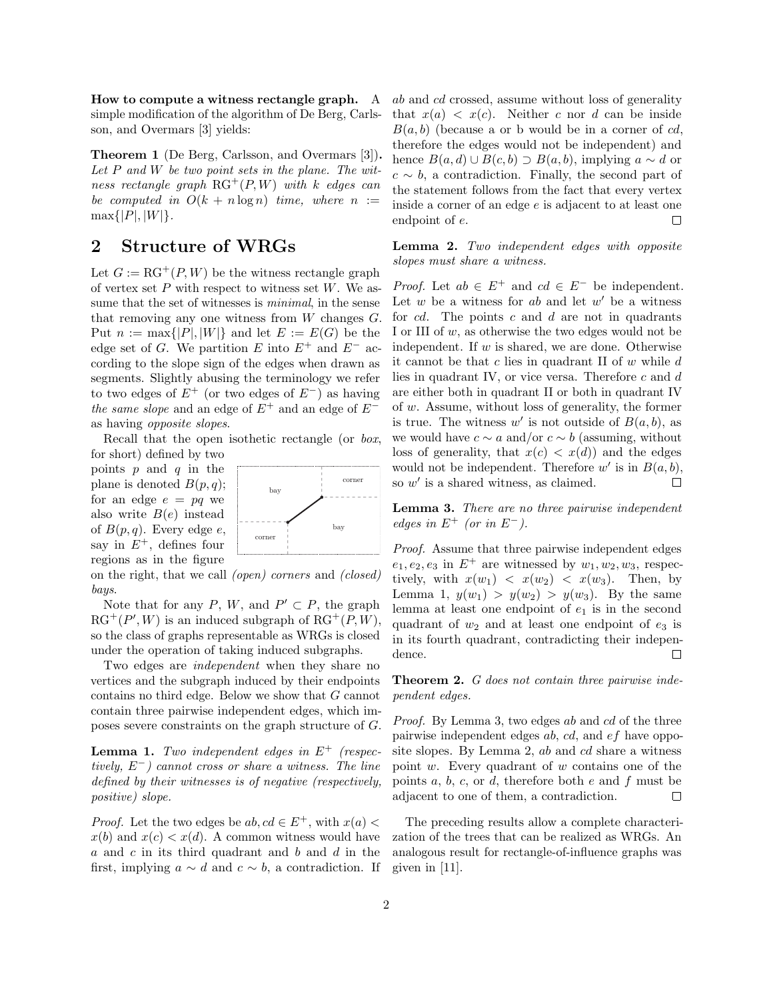How to compute a witness rectangle graph. A simple modification of the algorithm of De Berg, Carlsson, and Overmars [3] yields:

Theorem 1 (De Berg, Carlsson, and Overmars [3]). Let  $P$  and  $W$  be two point sets in the plane. The witness rectangle graph  $\text{RG}^+(P, W)$  with k edges can be computed in  $O(k + n \log n)$  time, where  $n :=$  $\max\{|P|, |W|\}.$ 

#### 2 Structure of WRGs

Let  $G := \mathrm{RG}^+(P,W)$  be the witness rectangle graph of vertex set  $P$  with respect to witness set  $W$ . We assume that the set of witnesses is *minimal*, in the sense that removing any one witness from  $W$  changes  $G$ . Put  $n := \max\{|P|, |W|\}$  and let  $E := E(G)$  be the edge set of G. We partition E into  $E^+$  and  $E^-$  according to the slope sign of the edges when drawn as segments. Slightly abusing the terminology we refer to two edges of  $E^+$  (or two edges of  $E^-$ ) as having the same slope and an edge of  $E^+$  and an edge of  $E^$ as having opposite slopes.

Recall that the open isothetic rectangle (or *box*, for short) defined by two

points  $p$  and  $q$  in the plane is denoted  $B(p, q)$ ; for an edge  $e = pq$  we also write  $B(e)$  instead of  $B(p, q)$ . Every edge e, say in  $E^+$ , defines four regions as in the figure



on the right, that we call (open) corners and (closed) bays.

Note that for any P, W, and  $P' \subset P$ , the graph  $RG^+(P', W)$  is an induced subgraph of  $RG^+(P, W)$ , so the class of graphs representable as WRGs is closed under the operation of taking induced subgraphs.

Two edges are *independent* when they share no vertices and the subgraph induced by their endpoints contains no third edge. Below we show that G cannot contain three pairwise independent edges, which imposes severe constraints on the graph structure of G.

**Lemma 1.** Two independent edges in  $E^+$  (respectively,  $E^-$ ) cannot cross or share a witness. The line defined by their witnesses is of negative (respectively, positive) slope.

*Proof.* Let the two edges be  $ab, cd \in E^+$ , with  $x(a) <$  $x(b)$  and  $x(c) < x(d)$ . A common witness would have  $a$  and  $c$  in its third quadrant and  $b$  and  $d$  in the first, implying  $a \sim d$  and  $c \sim b$ , a contradiction. If ab and cd crossed, assume without loss of generality that  $x(a) < x(c)$ . Neither c nor d can be inside  $B(a, b)$  (because a or b would be in a corner of cd, therefore the edges would not be independent) and hence  $B(a, d) \cup B(c, b) \supset B(a, b)$ , implying  $a \sim d$  or  $c \sim b$ , a contradiction. Finally, the second part of the statement follows from the fact that every vertex inside a corner of an edge e is adjacent to at least one endpoint of e.  $\Box$ 

Lemma 2. Two independent edges with opposite slopes must share a witness.

*Proof.* Let  $ab \in E^+$  and  $cd \in E^-$  be independent. Let  $w$  be a witness for  $ab$  and let  $w'$  be a witness for  $cd$ . The points c and d are not in quadrants I or III of  $w$ , as otherwise the two edges would not be independent. If  $w$  is shared, we are done. Otherwise it cannot be that  $c$  lies in quadrant II of  $w$  while  $d$ lies in quadrant IV, or vice versa. Therefore c and d are either both in quadrant II or both in quadrant IV of w. Assume, without loss of generality, the former is true. The witness  $w'$  is not outside of  $B(a, b)$ , as we would have  $c \sim a$  and/or  $c \sim b$  (assuming, without loss of generality, that  $x(c) < x(d)$  and the edges would not be independent. Therefore  $w'$  is in  $B(a, b)$ , so  $w'$  is a shared witness, as claimed.  $\Box$ 

Lemma 3. There are no three pairwise independent edges in  $E^+$  (or in  $E^-$ ).

Proof. Assume that three pairwise independent edges  $e_1, e_2, e_3$  in  $E^+$  are witnessed by  $w_1, w_2, w_3$ , respectively, with  $x(w_1) < x(w_2) < x(w_3)$ . Then, by Lemma 1,  $y(w_1) > y(w_2) > y(w_3)$ . By the same lemma at least one endpoint of  $e_1$  is in the second quadrant of  $w_2$  and at least one endpoint of  $e_3$  is in its fourth quadrant, contradicting their independence.  $\Box$ 

Theorem 2. G does not contain three pairwise independent edges.

Proof. By Lemma 3, two edges ab and cd of the three pairwise independent edges ab, cd, and ef have opposite slopes. By Lemma 2, ab and cd share a witness point w. Every quadrant of w contains one of the points  $a, b, c, \text{ or } d$ , therefore both  $e$  and  $f$  must be adjacent to one of them, a contradiction.  $\Box$ 

The preceding results allow a complete characterization of the trees that can be realized as WRGs. An analogous result for rectangle-of-influence graphs was given in [11].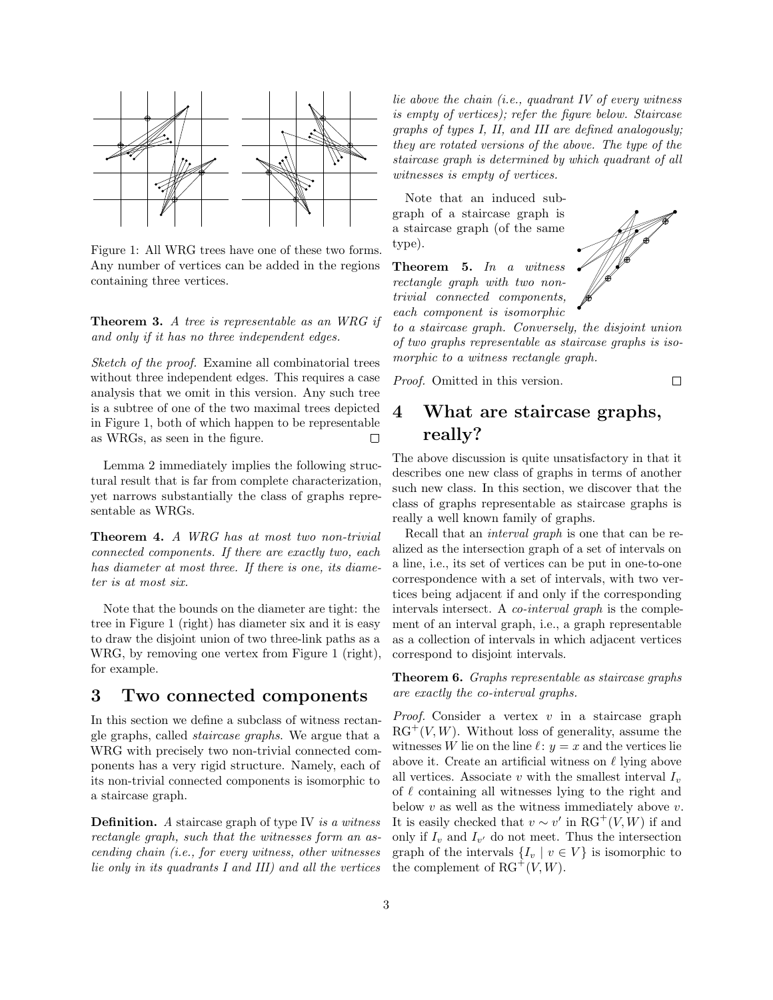

Figure 1: All WRG trees have one of these two forms. Any number of vertices can be added in the regions containing three vertices.

Theorem 3. A tree is representable as an WRG if and only if it has no three independent edges.

Sketch of the proof. Examine all combinatorial trees without three independent edges. This requires a case analysis that we omit in this version. Any such tree is a subtree of one of the two maximal trees depicted in Figure 1, both of which happen to be representable as WRGs, as seen in the figure.  $\Box$ 

Lemma 2 immediately implies the following structural result that is far from complete characterization, yet narrows substantially the class of graphs representable as WRGs.

Theorem 4. A WRG has at most two non-trivial connected components. If there are exactly two, each has diameter at most three. If there is one, its diameter is at most six.

Note that the bounds on the diameter are tight: the tree in Figure 1 (right) has diameter six and it is easy to draw the disjoint union of two three-link paths as a WRG, by removing one vertex from Figure 1 (right), for example.

#### 3 Two connected components

In this section we define a subclass of witness rectangle graphs, called staircase graphs. We argue that a WRG with precisely two non-trivial connected components has a very rigid structure. Namely, each of its non-trivial connected components is isomorphic to a staircase graph.

**Definition.** A staircase graph of type IV is a witness rectangle graph, such that the witnesses form an ascending chain (i.e., for every witness, other witnesses lie only in its quadrants I and III) and all the vertices lie above the chain (i.e., quadrant IV of every witness is empty of vertices); refer the figure below. Staircase graphs of types I, II, and III are defined analogously; they are rotated versions of the above. The type of the staircase graph is determined by which quadrant of all witnesses is empty of vertices.

Note that an induced subgraph of a staircase graph is a staircase graph (of the same type).

Theorem 5. In a witness rectangle graph with two nontrivial connected components, each component is isomorphic

to a staircase graph. Conversely, the disjoint union of two graphs representable as staircase graphs is isomorphic to a witness rectangle graph.

Proof. Omitted in this version.

+

+

 $\ast$ 

 $\mathscr{A}$ 

## 4 What are staircase graphs, really?

The above discussion is quite unsatisfactory in that it describes one new class of graphs in terms of another such new class. In this section, we discover that the class of graphs representable as staircase graphs is really a well known family of graphs.

Recall that an interval graph is one that can be realized as the intersection graph of a set of intervals on a line, i.e., its set of vertices can be put in one-to-one correspondence with a set of intervals, with two vertices being adjacent if and only if the corresponding intervals intersect. A co-interval graph is the complement of an interval graph, i.e., a graph representable as a collection of intervals in which adjacent vertices correspond to disjoint intervals.

Theorem 6. Graphs representable as staircase graphs are exactly the co-interval graphs.

*Proof.* Consider a vertex  $v$  in a staircase graph  $RG^{+}(V, W)$ . Without loss of generality, assume the witnesses W lie on the line  $\ell : y = x$  and the vertices lie above it. Create an artificial witness on  $\ell$  lying above all vertices. Associate  $v$  with the smallest interval  $I_v$ of  $\ell$  containing all witnesses lying to the right and below  $v$  as well as the witness immediately above  $v$ . It is easily checked that  $v \sim v'$  in  $\text{RG}^+(V, W)$  if and only if  $I_v$  and  $I_{v'}$  do not meet. Thus the intersection graph of the intervals  $\{I_v | v \in V\}$  is isomorphic to the complement of  $RG^+(V, W)$ .

 $\Box$ 

 $\widetilde{\Phi}$